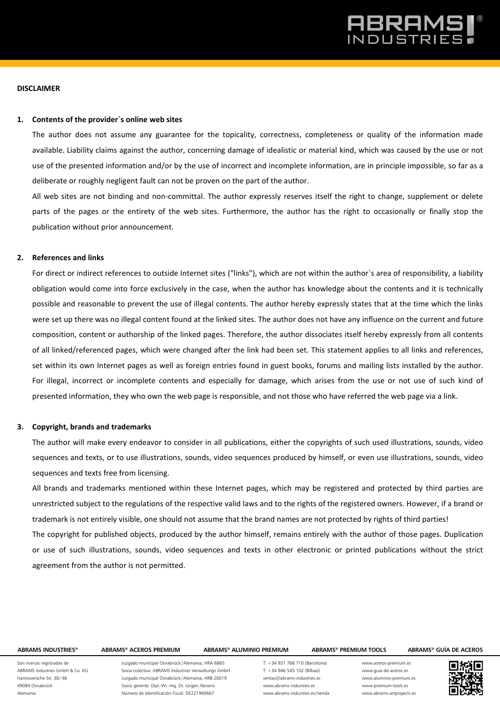## 3RAN

### **DISCLAIMER**

## **1. Contents of the provider`s online web sites**

The author does not assume any guarantee for the topicality, correctness, completeness or quality of the information made available. Liability claims against the author, concerning damage of idealistic or material kind, which was caused by the use or not use of the presented information and/or by the use of incorrect and incomplete information, are in principle impossible, so far as a deliberate or roughly negligent fault can not be proven on the part of the author.

All web sites are not binding and non-committal. The author expressly reserves itself the right to change, supplement or delete parts of the pages or the entirety of the web sites. Furthermore, the author has the right to occasionally or finally stop the publication without prior announcement.

## **2. References and links**

For direct or indirect references to outside Internet sites ("links"), which are not within the author`s area of responsibility, a liability obligation would come into force exclusively in the case, when the author has knowledge about the contents and it is technically possible and reasonable to prevent the use of illegal contents. The author hereby expressly states that at the time which the links were set up there was no illegal content found at the linked sites. The author does not have any influence on the current and future composition, content or authorship of the linked pages. Therefore, the author dissociates itself hereby expressly from all contents of all linked/referenced pages, which were changed after the link had been set. This statement applies to all links and references, set within its own Internet pages as well as foreign entries found in guest books, forums and mailing lists installed by the author. For illegal, incorrect or incomplete contents and especially for damage, which arises from the use or not use of such kind of presented information, they who own the web page is responsible, and not those who have referred the web page via a link.

## **3. Copyright, brands and trademarks**

The author will make every endeavor to consider in all publications, either the copyrights of such used illustrations, sounds, video sequences and texts, or to use illustrations, sounds, video sequences produced by himself, or even use illustrations, sounds, video sequences and texts free from licensing.

All brands and trademarks mentioned within these Internet pages, which may be registered and protected by third parties are unrestricted subject to the regulations of the respective valid laws and to the rights of the registered owners. However, if a brand or trademark is not entirely visible, one should not assume that the brand names are not protected by rights of third parties! The copyright for published objects, produced by the author himself, remains entirely with the author of those pages. Duplication or use of such illustrations, sounds, video sequences and texts in other electronic or printed publications without the strict agreement from the author is not permitted.

### **ABRAMS INDUSTRIES® ABRAMS® ACEROS PREMIUM ABRAMS® ALUMINIO PREMIUM ABRAMS® PREMIUM TOOLS ABRAMS® GUÍA DE ACEROS**

Son marcas registradas de ABRAMS Industries GmbH & Co. KG Hannoversche Str. 38 / 46 49084 Osnabrück Alemania

Juzgado municipal Osnabrück /Alemania, HRA 6865 Socia colectiva: ABRAMS Industries Verwaltungs GmbH Juzgado municipal Osnabrück /Alemania, HRB 20019 Socio gerente: Dipl.-Wi.-Ing. Dr. Jürgen Abrams Número de Identificación Fiscal: DE221940667

T: +34 931 768 710 (Barcelona)  $T: +34946545102$  (Bilbao) ventas@abrams-industries.es www.abrams-industries.es www.abrams-industries.es/tienda

www.aceros-premium.es www.guia-de-aceros.es www.aluminio-premium.es www.premium-tools.es www.abrams-artprojects.es